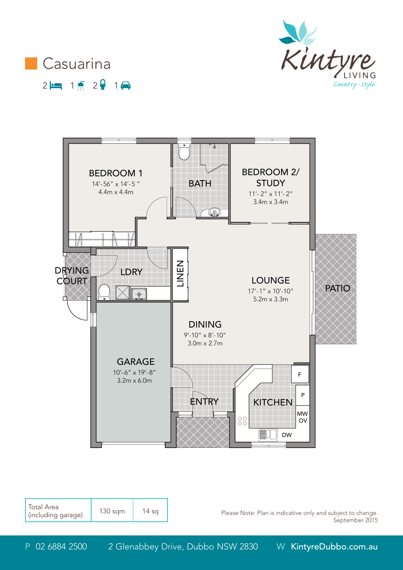





| Total Area<br>(including garage) | $130$ sqm | 4 sa |
|----------------------------------|-----------|------|
|----------------------------------|-----------|------|

Please Note: Plan is indicative only and subject to change. September 2015